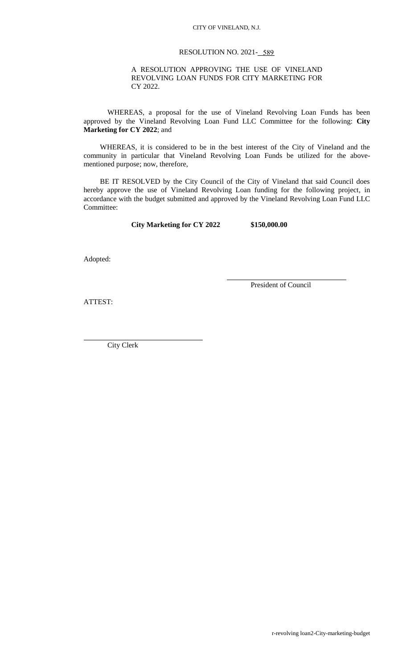## CITY OF VINELAND, N.J.

## RESOLUTION NO. 2021- 589

## A RESOLUTION APPROVING THE USE OF VINELAND REVOLVING LOAN FUNDS FOR CITY MARKETING FOR CY 2022.

WHEREAS, a proposal for the use of Vineland Revolving Loan Funds has been approved by the Vineland Revolving Loan Fund LLC Committee for the following: **City Marketing for CY 2022**; and

 WHEREAS, it is considered to be in the best interest of the City of Vineland and the community in particular that Vineland Revolving Loan Funds be utilized for the abovementioned purpose; now, therefore,

 BE IT RESOLVED by the City Council of the City of Vineland that said Council does hereby approve the use of Vineland Revolving Loan funding for the following project, in accordance with the budget submitted and approved by the Vineland Revolving Loan Fund LLC Committee:

**City Marketing for CY 2022 \$150,000.00**

Adopted:

President of Council

ATTEST:

City Clerk